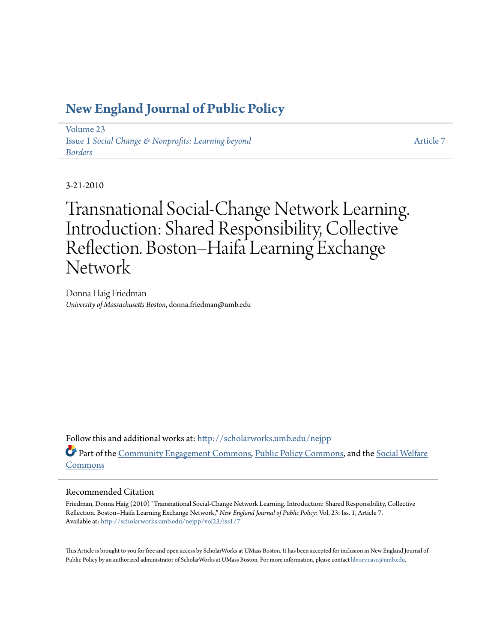## **[New England Journal of Public Policy](http://scholarworks.umb.edu/nejpp?utm_source=scholarworks.umb.edu%2Fnejpp%2Fvol23%2Fiss1%2F7&utm_medium=PDF&utm_campaign=PDFCoverPages)**

[Volume 23](http://scholarworks.umb.edu/nejpp/vol23?utm_source=scholarworks.umb.edu%2Fnejpp%2Fvol23%2Fiss1%2F7&utm_medium=PDF&utm_campaign=PDFCoverPages) Issue 1 *[Social Change & Nonprofits: Learning beyond](http://scholarworks.umb.edu/nejpp/vol23/iss1?utm_source=scholarworks.umb.edu%2Fnejpp%2Fvol23%2Fiss1%2F7&utm_medium=PDF&utm_campaign=PDFCoverPages) [Borders](http://scholarworks.umb.edu/nejpp/vol23/iss1?utm_source=scholarworks.umb.edu%2Fnejpp%2Fvol23%2Fiss1%2F7&utm_medium=PDF&utm_campaign=PDFCoverPages)*

[Article 7](http://scholarworks.umb.edu/nejpp/vol23/iss1/7?utm_source=scholarworks.umb.edu%2Fnejpp%2Fvol23%2Fiss1%2F7&utm_medium=PDF&utm_campaign=PDFCoverPages)

3-21-2010

Transnational Social-Change Network Learning. Introduction: Shared Responsibility, Collective Reflection. Boston–Haifa Learning Exchange Network

Donna Haig Friedman *University of Massachusetts Boston*, donna.friedman@umb.edu

Follow this and additional works at: [http://scholarworks.umb.edu/nejpp](http://scholarworks.umb.edu/nejpp?utm_source=scholarworks.umb.edu%2Fnejpp%2Fvol23%2Fiss1%2F7&utm_medium=PDF&utm_campaign=PDFCoverPages) Part of the [Community Engagement Commons](http://network.bepress.com/hgg/discipline/1028?utm_source=scholarworks.umb.edu%2Fnejpp%2Fvol23%2Fiss1%2F7&utm_medium=PDF&utm_campaign=PDFCoverPages), [Public Policy Commons](http://network.bepress.com/hgg/discipline/400?utm_source=scholarworks.umb.edu%2Fnejpp%2Fvol23%2Fiss1%2F7&utm_medium=PDF&utm_campaign=PDFCoverPages), and the [Social Welfare](http://network.bepress.com/hgg/discipline/401?utm_source=scholarworks.umb.edu%2Fnejpp%2Fvol23%2Fiss1%2F7&utm_medium=PDF&utm_campaign=PDFCoverPages) [Commons](http://network.bepress.com/hgg/discipline/401?utm_source=scholarworks.umb.edu%2Fnejpp%2Fvol23%2Fiss1%2F7&utm_medium=PDF&utm_campaign=PDFCoverPages)

#### Recommended Citation

Friedman, Donna Haig (2010) "Transnational Social-Change Network Learning. Introduction: Shared Responsibility, Collective Reflection. Boston–Haifa Learning Exchange Network," *New England Journal of Public Policy*: Vol. 23: Iss. 1, Article 7. Available at: [http://scholarworks.umb.edu/nejpp/vol23/iss1/7](http://scholarworks.umb.edu/nejpp/vol23/iss1/7?utm_source=scholarworks.umb.edu%2Fnejpp%2Fvol23%2Fiss1%2F7&utm_medium=PDF&utm_campaign=PDFCoverPages)

This Article is brought to you for free and open access by ScholarWorks at UMass Boston. It has been accepted for inclusion in New England Journal of Public Policy by an authorized administrator of ScholarWorks at UMass Boston. For more information, please contact [library.uasc@umb.edu](mailto:library.uasc@umb.edu).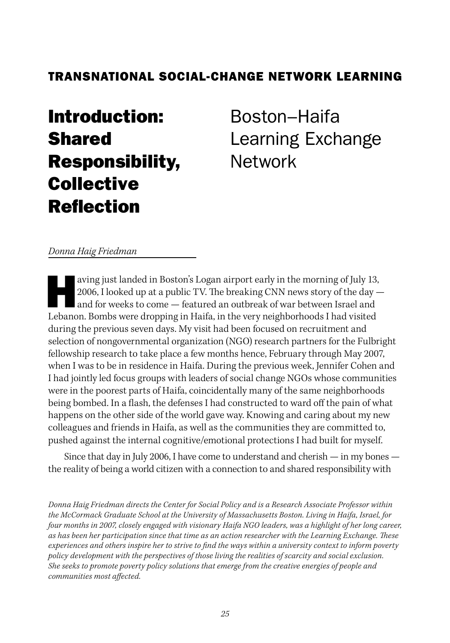## TRANSNATIONAL SOCIAL-CHANGE NETWORK LEARNING

# Introduction: Shared Responsibility, **Collective** Reflection

Boston–Haifa Learning Exchange Network

#### *Donna Haig Friedman*

aving just landed in Boston's Logan airport early in the morning of July 13, 2006, I looked up at a public TV. The breaking CNN news story of the day and for weeks to come — featured an outbreak of war between Israel and Lebanon. Bombs were dropping in Haifa, in the very neighborhoods I had visited during the previous seven days. My visit had been focused on recruitment and selection of nongovernmental organization (NGO) research partners for the Fulbright fellowship research to take place a few months hence, February through May 2007, when I was to be in residence in Haifa. During the previous week, Jennifer Cohen and I had jointly led focus groups with leaders of social change NGOs whose communities were in the poorest parts of Haifa, coincidentally many of the same neighborhoods being bombed. In a flash, the defenses I had constructed to ward off the pain of what happens on the other side of the world gave way. Knowing and caring about my new colleagues and friends in Haifa, as well as the communities they are committed to, pushed against the internal cognitive/emotional protections I had built for myself.

Since that day in July 2006, I have come to understand and cherish — in my bones the reality of being a world citizen with a connection to and shared responsibility with

*Donna Haig Friedman directs the Center for Social Policy and is a Research Associate Professor within the McCormack Graduate School at the University of Massachusetts Boston. Living in Haifa, Israel, for four months in 2007, closely engaged with visionary Haifa NGO leaders, was a highlight of her long career, as has been her participation since that time as an action researcher with the Learning Exchange. These experiences and others inspire her to strive to find the ways within a university context to inform poverty policy development with the perspectives of those living the realities of scarcity and social exclusion. She seeks to promote poverty policy solutions that emerge from the creative energies of people and communities most affected.*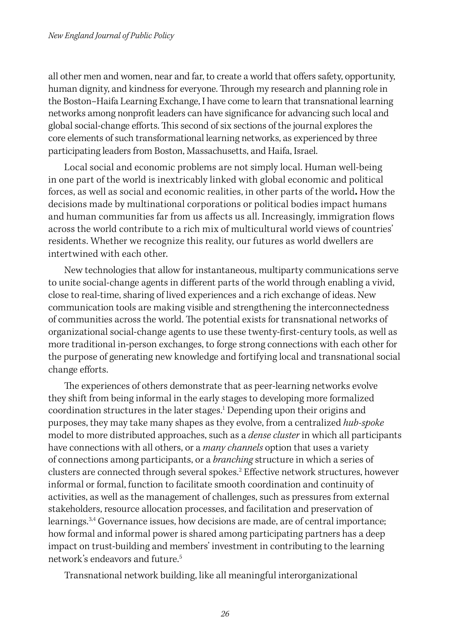all other men and women, near and far, to create a world that offers safety, opportunity, human dignity, and kindness for everyone. Through my research and planning role in the Boston–Haifa Learning Exchange, I have come to learn that transnational learning networks among nonprofit leaders can have significance for advancing such local and global social-change efforts. This second of six sections of the journal explores the core elements of such transformational learning networks, as experienced by three participating leaders from Boston, Massachusetts, and Haifa, Israel.

Local social and economic problems are not simply local. Human well-being in one part of the world is inextricably linked with global economic and political forces, as well as social and economic realities, in other parts of the world**.** How the decisions made by multinational corporations or political bodies impact humans and human communities far from us affects us all. Increasingly, immigration flows across the world contribute to a rich mix of multicultural world views of countries' residents. Whether we recognize this reality, our futures as world dwellers are intertwined with each other.

New technologies that allow for instantaneous, multiparty communications serve to unite social-change agents in different parts of the world through enabling a vivid, close to real-time, sharing of lived experiences and a rich exchange of ideas. New communication tools are making visible and strengthening the interconnectedness of communities across the world. The potential exists for transnational networks of organizational social-change agents to use these twenty-first-century tools, as well as more traditional in-person exchanges, to forge strong connections with each other for the purpose of generating new knowledge and fortifying local and transnational social change efforts.

The experiences of others demonstrate that as peer-learning networks evolve they shift from being informal in the early stages to developing more formalized coordination structures in the later stages.<sup>1</sup> Depending upon their origins and purposes, they may take many shapes as they evolve, from a centralized *hub-spoke* model to more distributed approaches, such as a *dense cluster* in which all participants have connections with all others, or a *many channels* option that uses a variety of connections among participants, or a *branching* structure in which a series of clusters are connected through several spokes.2 Effective network structures, however informal or formal, function to facilitate smooth coordination and continuity of activities, as well as the management of challenges, such as pressures from external stakeholders, resource allocation processes, and facilitation and preservation of learnings.<sup>3,4</sup> Governance issues, how decisions are made, are of central importance; how formal and informal power is shared among participating partners has a deep impact on trust-building and members' investment in contributing to the learning network's endeavors and future.5

Transnational network building, like all meaningful interorganizational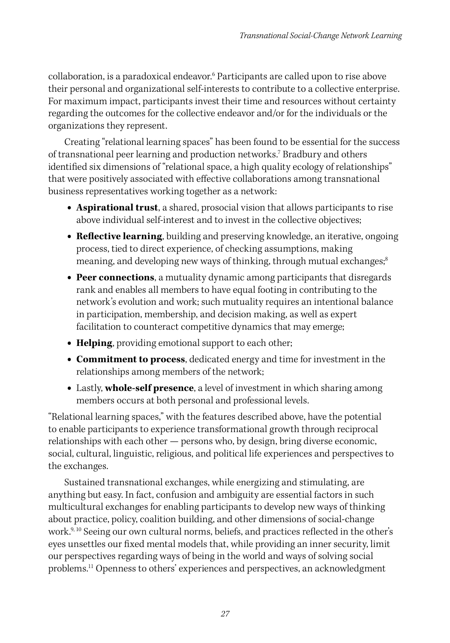collaboration, is a paradoxical endeavor.6 Participants are called upon to rise above their personal and organizational self-interests to contribute to a collective enterprise. For maximum impact, participants invest their time and resources without certainty regarding the outcomes for the collective endeavor and/or for the individuals or the organizations they represent.

Creating "relational learning spaces" has been found to be essential for the success of transnational peer learning and production networks.7 Bradbury and others identified six dimensions of "relational space, a high quality ecology of relationships" that were positively associated with effective collaborations among transnational business representatives working together as a network:

- **• Aspirational trust**, a shared, prosocial vision that allows participants to rise above individual self-interest and to invest in the collective objectives;
- **• Reflective learning**, building and preserving knowledge, an iterative, ongoing process, tied to direct experience, of checking assumptions, making meaning, and developing new ways of thinking, through mutual exchanges;<sup>8</sup>
- **• Peer connections**, a mutuality dynamic among participants that disregards rank and enables all members to have equal footing in contributing to the network's evolution and work; such mutuality requires an intentional balance in participation, membership, and decision making, as well as expert facilitation to counteract competitive dynamics that may emerge;
- **• Helping**, providing emotional support to each other;
- **• Commitment to process**, dedicated energy and time for investment in the relationships among members of the network;
- **•** Lastly, **whole-self presence**, a level of investment in which sharing among members occurs at both personal and professional levels.

"Relational learning spaces," with the features described above, have the potential to enable participants to experience transformational growth through reciprocal relationships with each other — persons who, by design, bring diverse economic, social, cultural, linguistic, religious, and political life experiences and perspectives to the exchanges.

Sustained transnational exchanges, while energizing and stimulating, are anything but easy. In fact, confusion and ambiguity are essential factors in such multicultural exchanges for enabling participants to develop new ways of thinking about practice, policy, coalition building, and other dimensions of social-change work.<sup>9, 10</sup> Seeing our own cultural norms, beliefs, and practices reflected in the other's eyes unsettles our fixed mental models that, while providing an inner security, limit our perspectives regarding ways of being in the world and ways of solving social problems.<sup>11</sup> Openness to others' experiences and perspectives, an acknowledgment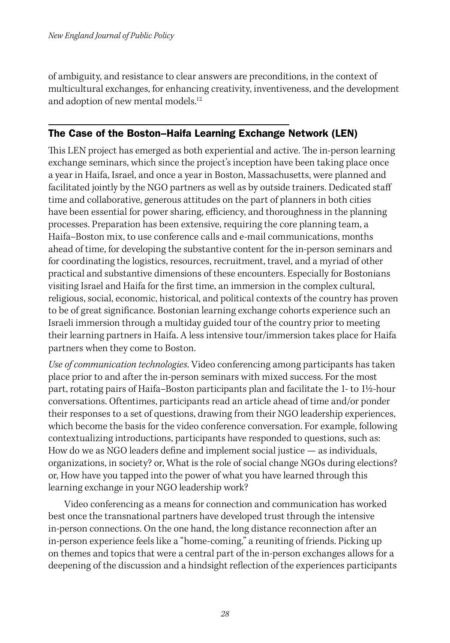of ambiguity, and resistance to clear answers are preconditions, in the context of multicultural exchanges, for enhancing creativity, inventiveness, and the development and adoption of new mental models.<sup>12</sup>

#### The Case of the Boston–Haifa Learning Exchange Network (LEN)

This LEN project has emerged as both experiential and active. The in-person learning exchange seminars, which since the project's inception have been taking place once a year in Haifa, Israel, and once a year in Boston, Massachusetts, were planned and facilitated jointly by the NGO partners as well as by outside trainers. Dedicated staff time and collaborative, generous attitudes on the part of planners in both cities have been essential for power sharing, efficiency, and thoroughness in the planning processes. Preparation has been extensive, requiring the core planning team, a Haifa–Boston mix, to use conference calls and e-mail communications, months ahead of time, for developing the substantive content for the in-person seminars and for coordinating the logistics, resources, recruitment, travel, and a myriad of other practical and substantive dimensions of these encounters. Especially for Bostonians visiting Israel and Haifa for the first time, an immersion in the complex cultural, religious, social, economic, historical, and political contexts of the country has proven to be of great significance. Bostonian learning exchange cohorts experience such an Israeli immersion through a multiday guided tour of the country prior to meeting their learning partners in Haifa. A less intensive tour/immersion takes place for Haifa partners when they come to Boston.

*Use of communication technologies*. Video conferencing among participants has taken place prior to and after the in-person seminars with mixed success. For the most part, rotating pairs of Haifa–Boston participants plan and facilitate the 1- to 1½-hour conversations. Oftentimes, participants read an article ahead of time and/or ponder their responses to a set of questions, drawing from their NGO leadership experiences, which become the basis for the video conference conversation. For example, following contextualizing introductions, participants have responded to questions, such as: How do we as NGO leaders define and implement social justice — as individuals, organizations, in society? or, What is the role of social change NGOs during elections? or, How have you tapped into the power of what you have learned through this learning exchange in your NGO leadership work?

Video conferencing as a means for connection and communication has worked best once the transnational partners have developed trust through the intensive in-person connections. On the one hand, the long distance reconnection after an in-person experience feels like a "home-coming," a reuniting of friends. Picking up on themes and topics that were a central part of the in-person exchanges allows for a deepening of the discussion and a hindsight reflection of the experiences participants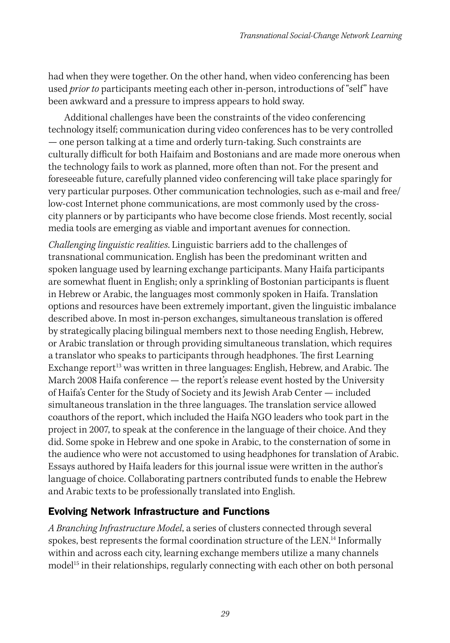had when they were together. On the other hand, when video conferencing has been used *prior to* participants meeting each other in-person, introductions of "self" have been awkward and a pressure to impress appears to hold sway.

Additional challenges have been the constraints of the video conferencing technology itself; communication during video conferences has to be very controlled — one person talking at a time and orderly turn-taking. Such constraints are culturally difficult for both Haifaim and Bostonians and are made more onerous when the technology fails to work as planned, more often than not. For the present and foreseeable future, carefully planned video conferencing will take place sparingly for very particular purposes. Other communication technologies, such as e-mail and free/ low-cost Internet phone communications, are most commonly used by the crosscity planners or by participants who have become close friends. Most recently, social media tools are emerging as viable and important avenues for connection.

*Challenging linguistic realities*. Linguistic barriers add to the challenges of transnational communication. English has been the predominant written and spoken language used by learning exchange participants. Many Haifa participants are somewhat fluent in English; only a sprinkling of Bostonian participants is fluent in Hebrew or Arabic, the languages most commonly spoken in Haifa. Translation options and resources have been extremely important, given the linguistic imbalance described above. In most in-person exchanges, simultaneous translation is offered by strategically placing bilingual members next to those needing English, Hebrew, or Arabic translation or through providing simultaneous translation, which requires a translator who speaks to participants through headphones. The first Learning Exchange report<sup>13</sup> was written in three languages: English, Hebrew, and Arabic. The March 2008 Haifa conference — the report's release event hosted by the University of Haifa's Center for the Study of Society and its Jewish Arab Center — included simultaneous translation in the three languages. The translation service allowed coauthors of the report, which included the Haifa NGO leaders who took part in the project in 2007, to speak at the conference in the language of their choice. And they did. Some spoke in Hebrew and one spoke in Arabic, to the consternation of some in the audience who were not accustomed to using headphones for translation of Arabic. Essays authored by Haifa leaders for this journal issue were written in the author's language of choice. Collaborating partners contributed funds to enable the Hebrew and Arabic texts to be professionally translated into English.

### Evolving Network Infrastructure and Functions

*A Branching Infrastructure Model*, a series of clusters connected through several spokes, best represents the formal coordination structure of the LEN.<sup>14</sup> Informally within and across each city, learning exchange members utilize a many channels model<sup>15</sup> in their relationships, regularly connecting with each other on both personal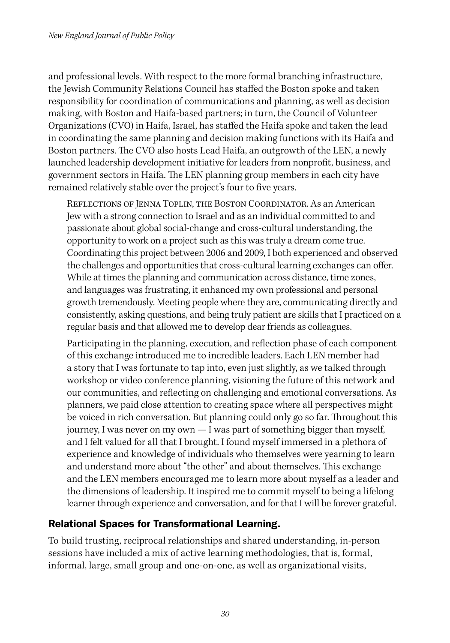and professional levels. With respect to the more formal branching infrastructure, the Jewish Community Relations Council has staffed the Boston spoke and taken responsibility for coordination of communications and planning, as well as decision making, with Boston and Haifa-based partners; in turn, the Council of Volunteer Organizations (CVO) in Haifa, Israel, has staffed the Haifa spoke and taken the lead in coordinating the same planning and decision making functions with its Haifa and Boston partners. The CVO also hosts Lead Haifa, an outgrowth of the LEN, a newly launched leadership development initiative for leaders from nonprofit, business, and government sectors in Haifa. The LEN planning group members in each city have remained relatively stable over the project's four to five years.

Reflections of Jenna Toplin, the Boston Coordinator. As an American Jew with a strong connection to Israel and as an individual committed to and passionate about global social-change and cross-cultural understanding, the opportunity to work on a project such as this was truly a dream come true. Coordinating this project between 2006 and 2009, I both experienced and observed the challenges and opportunities that cross-cultural learning exchanges can offer. While at times the planning and communication across distance, time zones, and languages was frustrating, it enhanced my own professional and personal growth tremendously. Meeting people where they are, communicating directly and consistently, asking questions, and being truly patient are skills that I practiced on a regular basis and that allowed me to develop dear friends as colleagues.

Participating in the planning, execution, and reflection phase of each component of this exchange introduced me to incredible leaders. Each LEN member had a story that I was fortunate to tap into, even just slightly, as we talked through workshop or video conference planning, visioning the future of this network and our communities, and reflecting on challenging and emotional conversations. As planners, we paid close attention to creating space where all perspectives might be voiced in rich conversation. But planning could only go so far. Throughout this journey, I was never on my own — I was part of something bigger than myself, and I felt valued for all that I brought. I found myself immersed in a plethora of experience and knowledge of individuals who themselves were yearning to learn and understand more about "the other" and about themselves. This exchange and the LEN members encouraged me to learn more about myself as a leader and the dimensions of leadership. It inspired me to commit myself to being a lifelong learner through experience and conversation, and for that I will be forever grateful.

### Relational Spaces for Transformational Learning.

To build trusting, reciprocal relationships and shared understanding, in-person sessions have included a mix of active learning methodologies, that is, formal, informal, large, small group and one-on-one, as well as organizational visits,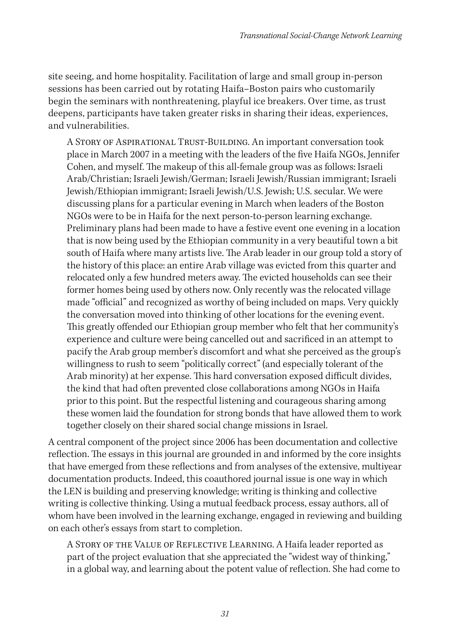site seeing, and home hospitality. Facilitation of large and small group in-person sessions has been carried out by rotating Haifa–Boston pairs who customarily begin the seminars with nonthreatening, playful ice breakers. Over time, as trust deepens, participants have taken greater risks in sharing their ideas, experiences, and vulnerabilities.

A Story of Aspirational Trust-Building. An important conversation took place in March 2007 in a meeting with the leaders of the five Haifa NGOs, Jennifer Cohen, and myself. The makeup of this all-female group was as follows: Israeli Arab/Christian; Israeli Jewish/German; Israeli Jewish/Russian immigrant; Israeli Jewish/Ethiopian immigrant; Israeli Jewish/U.S. Jewish; U.S. secular. We were discussing plans for a particular evening in March when leaders of the Boston NGOs were to be in Haifa for the next person-to-person learning exchange. Preliminary plans had been made to have a festive event one evening in a location that is now being used by the Ethiopian community in a very beautiful town a bit south of Haifa where many artists live. The Arab leader in our group told a story of the history of this place: an entire Arab village was evicted from this quarter and relocated only a few hundred meters away. The evicted households can see their former homes being used by others now. Only recently was the relocated village made "official" and recognized as worthy of being included on maps. Very quickly the conversation moved into thinking of other locations for the evening event. This greatly offended our Ethiopian group member who felt that her community's experience and culture were being cancelled out and sacrificed in an attempt to pacify the Arab group member's discomfort and what she perceived as the group's willingness to rush to seem "politically correct" (and especially tolerant of the Arab minority) at her expense. This hard conversation exposed difficult divides, the kind that had often prevented close collaborations among NGOs in Haifa prior to this point. But the respectful listening and courageous sharing among these women laid the foundation for strong bonds that have allowed them to work together closely on their shared social change missions in Israel.

A central component of the project since 2006 has been documentation and collective reflection. The essays in this journal are grounded in and informed by the core insights that have emerged from these reflections and from analyses of the extensive, multiyear documentation products. Indeed, this coauthored journal issue is one way in which the LEN is building and preserving knowledge; writing is thinking and collective writing is collective thinking. Using a mutual feedback process, essay authors, all of whom have been involved in the learning exchange, engaged in reviewing and building on each other's essays from start to completion.

A Story of the Value of Reflective Learning. A Haifa leader reported as part of the project evaluation that she appreciated the "widest way of thinking," in a global way, and learning about the potent value of reflection. She had come to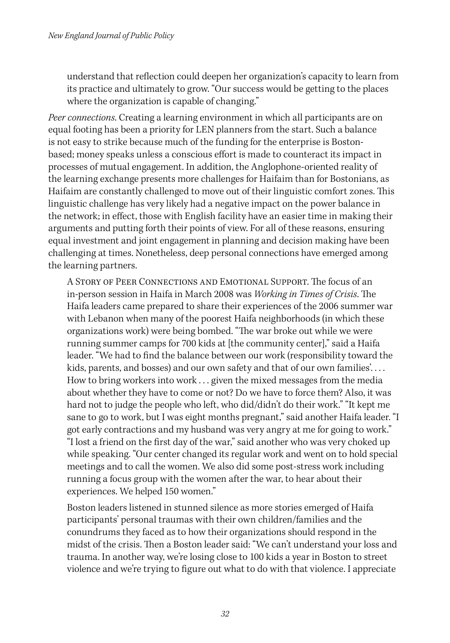understand that reflection could deepen her organization's capacity to learn from its practice and ultimately to grow. "Our success would be getting to the places where the organization is capable of changing."

*Peer connections*. Creating a learning environment in which all participants are on equal footing has been a priority for LEN planners from the start. Such a balance is not easy to strike because much of the funding for the enterprise is Bostonbased; money speaks unless a conscious effort is made to counteract its impact in processes of mutual engagement. In addition, the Anglophone-oriented reality of the learning exchange presents more challenges for Haifaim than for Bostonians, as Haifaim are constantly challenged to move out of their linguistic comfort zones. This linguistic challenge has very likely had a negative impact on the power balance in the network; in effect, those with English facility have an easier time in making their arguments and putting forth their points of view. For all of these reasons, ensuring equal investment and joint engagement in planning and decision making have been challenging at times. Nonetheless, deep personal connections have emerged among the learning partners.

A Story of Peer Connections and Emotional Support. The focus of an in-person session in Haifa in March 2008 was *Working in Times of Crisis*. The Haifa leaders came prepared to share their experiences of the 2006 summer war with Lebanon when many of the poorest Haifa neighborhoods (in which these organizations work) were being bombed. "The war broke out while we were running summer camps for 700 kids at [the community center]," said a Haifa leader. "We had to find the balance between our work (responsibility toward the kids, parents, and bosses) and our own safety and that of our own families'. . . . How to bring workers into work . . . given the mixed messages from the media about whether they have to come or not? Do we have to force them? Also, it was hard not to judge the people who left, who did/didn't do their work." "It kept me sane to go to work, but I was eight months pregnant," said another Haifa leader. "I got early contractions and my husband was very angry at me for going to work." "I lost a friend on the first day of the war," said another who was very choked up while speaking. "Our center changed its regular work and went on to hold special meetings and to call the women. We also did some post-stress work including running a focus group with the women after the war, to hear about their experiences. We helped 150 women."

Boston leaders listened in stunned silence as more stories emerged of Haifa participants' personal traumas with their own children/families and the conundrums they faced as to how their organizations should respond in the midst of the crisis. Then a Boston leader said: "We can't understand your loss and trauma. In another way, we're losing close to 100 kids a year in Boston to street violence and we're trying to figure out what to do with that violence. I appreciate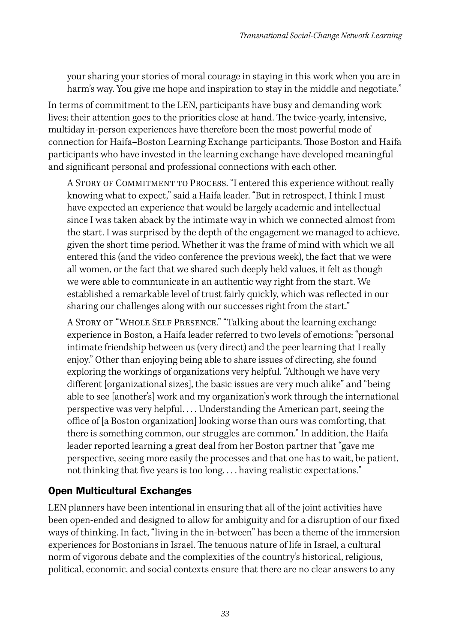your sharing your stories of moral courage in staying in this work when you are in harm's way. You give me hope and inspiration to stay in the middle and negotiate."

In terms of commitment to the LEN, participants have busy and demanding work lives; their attention goes to the priorities close at hand. The twice-yearly, intensive, multiday in-person experiences have therefore been the most powerful mode of connection for Haifa–Boston Learning Exchange participants. Those Boston and Haifa participants who have invested in the learning exchange have developed meaningful and significant personal and professional connections with each other.

A Story of Commitment to Process. "I entered this experience without really knowing what to expect," said a Haifa leader. "But in retrospect, I think I must have expected an experience that would be largely academic and intellectual since I was taken aback by the intimate way in which we connected almost from the start. I was surprised by the depth of the engagement we managed to achieve, given the short time period. Whether it was the frame of mind with which we all entered this (and the video conference the previous week), the fact that we were all women, or the fact that we shared such deeply held values, it felt as though we were able to communicate in an authentic way right from the start. We established a remarkable level of trust fairly quickly, which was reflected in our sharing our challenges along with our successes right from the start."

A Story of "Whole Self Presence." "Talking about the learning exchange experience in Boston, a Haifa leader referred to two levels of emotions: "personal intimate friendship between us (very direct) and the peer learning that I really enjoy." Other than enjoying being able to share issues of directing, she found exploring the workings of organizations very helpful. "Although we have very different [organizational sizes], the basic issues are very much alike" and "being able to see [another's] work and my organization's work through the international perspective was very helpful. . . . Understanding the American part, seeing the office of [a Boston organization] looking worse than ours was comforting, that there is something common, our struggles are common." In addition, the Haifa leader reported learning a great deal from her Boston partner that "gave me perspective, seeing more easily the processes and that one has to wait, be patient, not thinking that five years is too long, . . . having realistic expectations."

#### Open Multicultural Exchanges

LEN planners have been intentional in ensuring that all of the joint activities have been open-ended and designed to allow for ambiguity and for a disruption of our fixed ways of thinking. In fact, "living in the in-between" has been a theme of the immersion experiences for Bostonians in Israel. The tenuous nature of life in Israel, a cultural norm of vigorous debate and the complexities of the country's historical, religious, political, economic, and social contexts ensure that there are no clear answers to any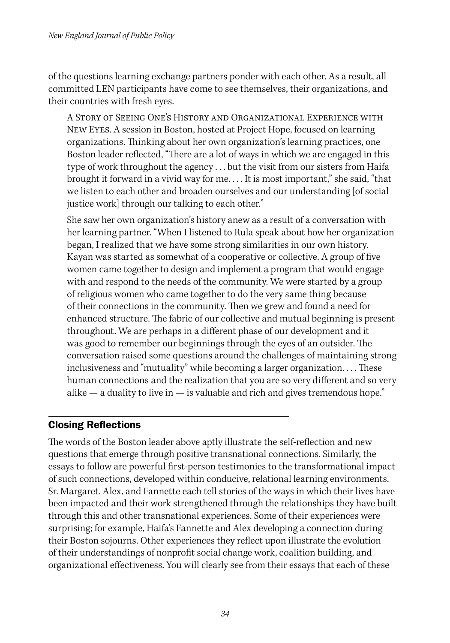of the questions learning exchange partners ponder with each other. As a result, all committed LEN participants have come to see themselves, their organizations, and their countries with fresh eyes.

A Story of Seeing One's History and Organizational Experience with New Eyes. A session in Boston, hosted at Project Hope, focused on learning organizations. Thinking about her own organization's learning practices, one Boston leader reflected, "There are a lot of ways in which we are engaged in this type of work throughout the agency . . . but the visit from our sisters from Haifa brought it forward in a vivid way for me. . . . It is most important," she said, "that we listen to each other and broaden ourselves and our understanding [of social justice work] through our talking to each other."

She saw her own organization's history anew as a result of a conversation with her learning partner. "When I listened to Rula speak about how her organization began, I realized that we have some strong similarities in our own history. Kayan was started as somewhat of a cooperative or collective. A group of five women came together to design and implement a program that would engage with and respond to the needs of the community. We were started by a group of religious women who came together to do the very same thing because of their connections in the community. Then we grew and found a need for enhanced structure. The fabric of our collective and mutual beginning is present throughout. We are perhaps in a different phase of our development and it was good to remember our beginnings through the eyes of an outsider. The conversation raised some questions around the challenges of maintaining strong inclusiveness and "mutuality" while becoming a larger organization. . . . These human connections and the realization that you are so very different and so very alike  $-$  a duality to live in  $-$  is valuable and rich and gives tremendous hope."

#### Closing Reflections

The words of the Boston leader above aptly illustrate the self-reflection and new questions that emerge through positive transnational connections. Similarly, the essays to follow are powerful first-person testimonies to the transformational impact of such connections, developed within conducive, relational learning environments. Sr. Margaret, Alex, and Fannette each tell stories of the ways in which their lives have been impacted and their work strengthened through the relationships they have built through this and other transnational experiences. Some of their experiences were surprising; for example, Haifa's Fannette and Alex developing a connection during their Boston sojourns. Other experiences they reflect upon illustrate the evolution of their understandings of nonprofit social change work, coalition building, and organizational effectiveness. You will clearly see from their essays that each of these